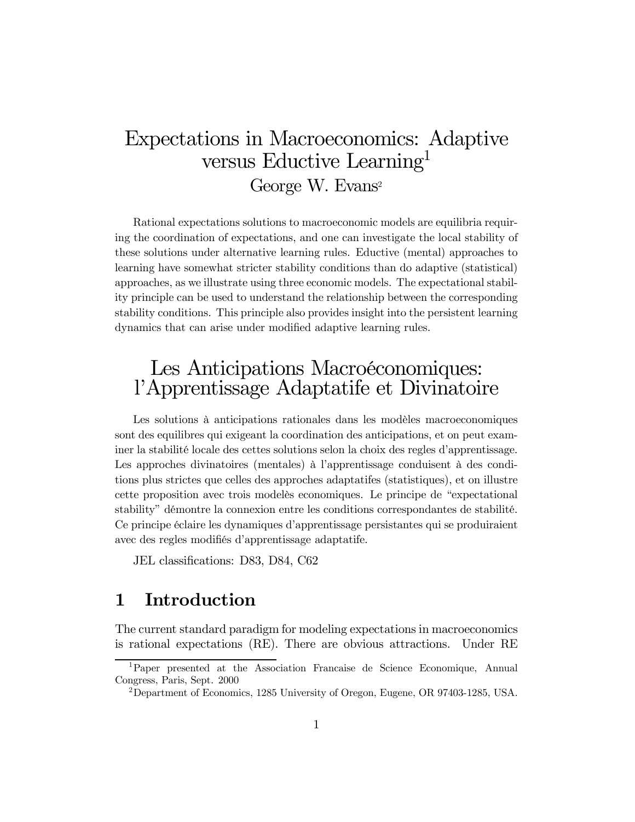# Expectations in Macroeconomics: Adaptive versus Eductive Learning1 George W. Evans2

Rational expectations solutions to macroeconomic models are equilibria requiring the coordination of expectations, and one can investigate the local stability of these solutions under alternative learning rules. Eductive (mental) approaches to learning have somewhat stricter stability conditions than do adaptive (statistical) approaches, as we illustrate using three economic models. The expectational stability principle can be used to understand the relationship between the corresponding stability conditions. This principle also provides insight into the persistent learning dynamics that can arise under modified adaptive learning rules.

# Les Anticipations Macroéconomiques: l'Apprentissage Adaptatife et Divinatoire

Les solutions à anticipations rationales dans les modèles macroeconomiques sont des equilibres qui exigeant la coordination des anticipations, et on peut examiner la stabilité locale des cettes solutions selon la choix des regles d'apprentissage. Les approches divinatoires (mentales) à l'apprentissage conduisent à des conditions plus strictes que celles des approches adaptatifes (statistiques), et on illustre cette proposition avec trois modelès economiques. Le principe de "expectational" stability" démontre la connexion entre les conditions correspondantes de stabilité. Ce principe Èclaire les dynamiques díapprentissage persistantes qui se produiraient avec des regles modifiés d'apprentissage adaptatife.

JEL classifications: D83, D84, C62

## 1 Introduction

The current standard paradigm for modeling expectations in macroeconomics is rational expectations (RE). There are obvious attractions. Under RE

<sup>1</sup>Paper presented at the Association Francaise de Science Economique, Annual Congress, Paris, Sept. 2000

<sup>2</sup>Department of Economics, 1285 University of Oregon, Eugene, OR 97403-1285, USA.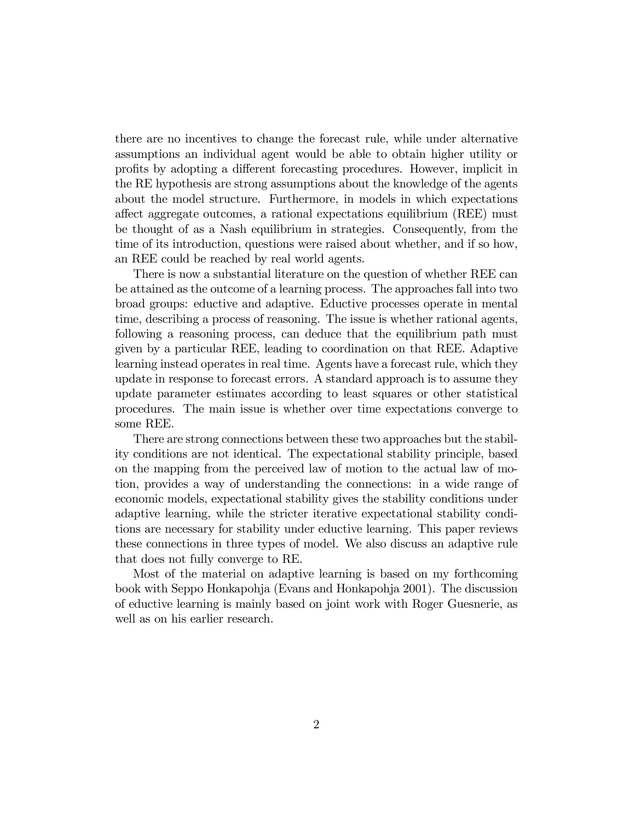there are no incentives to change the forecast rule, while under alternative assumptions an individual agent would be able to obtain higher utility or profits by adopting a different forecasting procedures. However, implicit in the RE hypothesis are strong assumptions about the knowledge of the agents about the model structure. Furthermore, in models in which expectations affect aggregate outcomes, a rational expectations equilibrium (REE) must be thought of as a Nash equilibrium in strategies. Consequently, from the time of its introduction, questions were raised about whether, and if so how, an REE could be reached by real world agents.

There is now a substantial literature on the question of whether REE can be attained as the outcome of a learning process. The approaches fall into two broad groups: eductive and adaptive. Eductive processes operate in mental time, describing a process of reasoning. The issue is whether rational agents, following a reasoning process, can deduce that the equilibrium path must given by a particular REE, leading to coordination on that REE. Adaptive learning instead operates in real time. Agents have a forecast rule, which they update in response to forecast errors. A standard approach is to assume they update parameter estimates according to least squares or other statistical procedures. The main issue is whether over time expectations converge to some REE.

There are strong connections between these two approaches but the stability conditions are not identical. The expectational stability principle, based on the mapping from the perceived law of motion to the actual law of motion, provides a way of understanding the connections: in a wide range of economic models, expectational stability gives the stability conditions under adaptive learning, while the stricter iterative expectational stability conditions are necessary for stability under eductive learning. This paper reviews these connections in three types of model. We also discuss an adaptive rule that does not fully converge to RE.

Most of the material on adaptive learning is based on my forthcoming book with Seppo Honkapohja (Evans and Honkapohja 2001). The discussion of eductive learning is mainly based on joint work with Roger Guesnerie, as well as on his earlier research.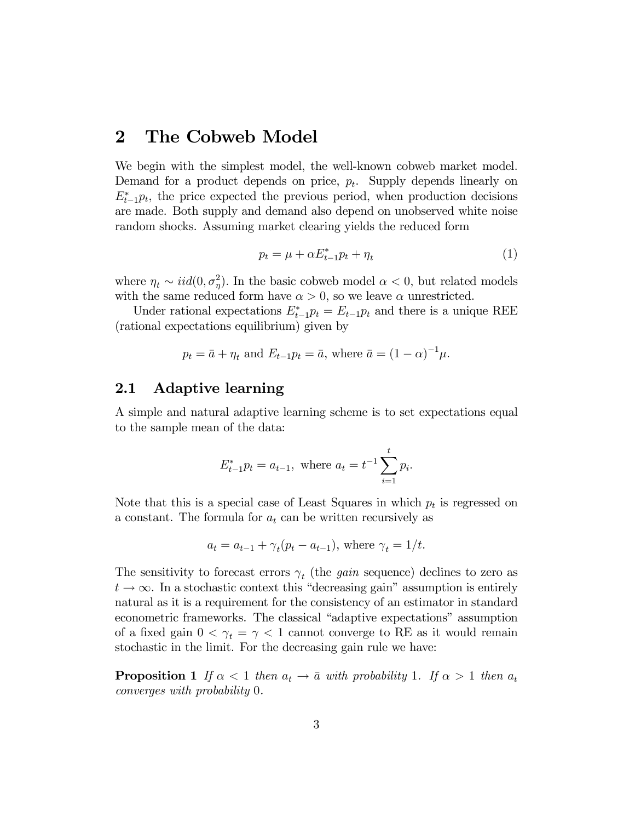### 2 The Cobweb Model

We begin with the simplest model, the well-known cobweb market model. Demand for a product depends on price,  $p_t$ . Supply depends linearly on  $E_{t-1}^*p_t$ , the price expected the previous period, when production decisions are made. Both supply and demand also depend on unobserved white noise random shocks. Assuming market clearing yields the reduced form

$$
p_t = \mu + \alpha E_{t-1}^* p_t + \eta_t \tag{1}
$$

where  $\eta_t \sim \text{iid}(0, \sigma_\eta^2)$ . In the basic cobweb model  $\alpha < 0$ , but related models with the same reduced form have  $\alpha > 0$ , so we leave  $\alpha$  unrestricted.

Under rational expectations  $E_{t-1}^* p_t = E_{t-1} p_t$  and there is a unique REE (rational expectations equilibrium) given by

$$
p_t = \bar{a} + \eta_t
$$
 and  $E_{t-1}p_t = \bar{a}$ , where  $\bar{a} = (1 - \alpha)^{-1}\mu$ .

#### 2.1 Adaptive learning

A simple and natural adaptive learning scheme is to set expectations equal to the sample mean of the data:

$$
E_{t-1}^* p_t = a_{t-1}, \text{ where } a_t = t^{-1} \sum_{i=1}^t p_i.
$$

Note that this is a special case of Least Squares in which  $p_t$  is regressed on a constant. The formula for  $a_t$  can be written recursively as

$$
a_t = a_{t-1} + \gamma_t(p_t - a_{t-1}),
$$
 where  $\gamma_t = 1/t$ .

The sensitivity to forecast errors  $\gamma_t$  (the *gain* sequence) declines to zero as  $t \to \infty$ . In a stochastic context this "decreasing gain" assumption is entirely natural as it is a requirement for the consistency of an estimator in standard econometric frameworks. The classical "adaptive expectations" assumption of a fixed gain  $0 < \gamma_t = \gamma < 1$  cannot converge to RE as it would remain stochastic in the limit. For the decreasing gain rule we have:

**Proposition 1** If  $\alpha < 1$  then  $a_t \to \bar{a}$  with probability 1. If  $\alpha > 1$  then  $a_t$ converges with probability 0.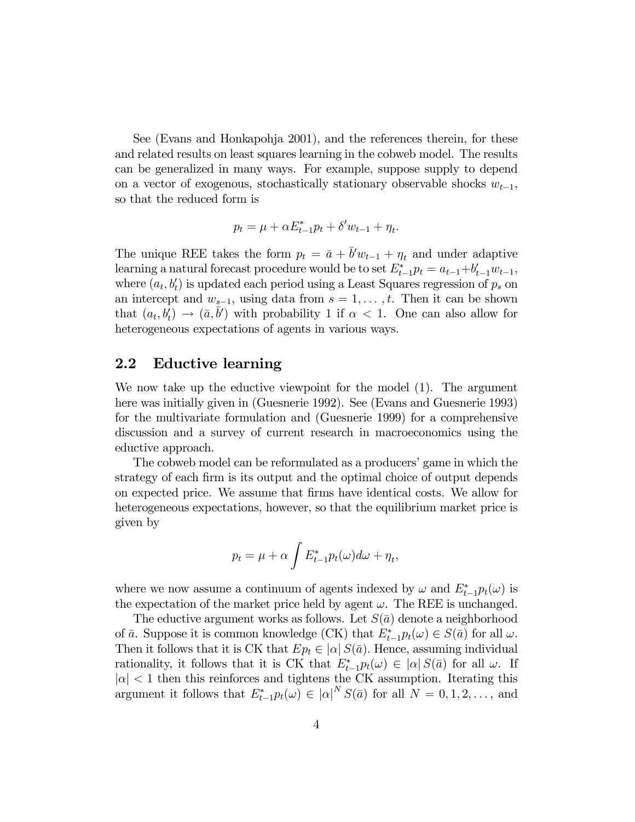See (Evans and Honkapohja 2001), and the references therein, for these and related results on least squares learning in the cobweb model. The results can be generalized in many ways. For example, suppose supply to depend on a vector of exogenous, stochastically stationary observable shocks  $w_{t-1}$ , so that the reduced form is

$$
p_t = \mu + \alpha E_{t-1}^* p_t + \delta' w_{t-1} + \eta_t.
$$

The unique REE takes the form  $p_t = \bar{a} + \bar{b}'w_{t-1} + \eta_t$  and under adaptive learning a natural forecast procedure would be to set  $E_{t-1}^* p_t = a_{t-1} + b'_{t-1}w_{t-1}$ , where  $(a_t, b'_t)$  is updated each period using a Least Squares regression of  $p_s$  on an intercept and  $w_{s-1}$ , using data from  $s = 1, \ldots, t$ . Then it can be shown that  $(a_t, b_t) \to (\bar{a}, \bar{b}')$  with probability 1 if  $\alpha < 1$ . One can also allow for heterogeneous expectations of agents in various ways.

#### 2.2 Eductive learning

We now take up the eductive viewpoint for the model  $(1)$ . The argument here was initially given in (Guesnerie 1992). See (Evans and Guesnerie 1993) for the multivariate formulation and (Guesnerie 1999) for a comprehensive discussion and a survey of current research in macroeconomics using the eductive approach.

The cobweb model can be reformulated as a producers' game in which the strategy of each firm is its output and the optimal choice of output depends on expected price. We assume that firms have identical costs. We allow for heterogeneous expectations, however, so that the equilibrium market price is given by

$$
p_t = \mu + \alpha \int E_{t-1}^* p_t(\omega) d\omega + \eta_t,
$$

where we now assume a continuum of agents indexed by  $\omega$  and  $E_{t-1}^* p_t(\omega)$  is the expectation of the market price held by agent  $\omega$ . The REE is unchanged.

The eductive argument works as follows. Let  $S(\bar{a})$  denote a neighborhood of  $\bar{a}$ . Suppose it is common knowledge (CK) that  $E_{t-1}^* p_t(\omega) \in S(\bar{a})$  for all  $\omega$ . Then it follows that it is CK that  $Ep_t \in |\alpha| S(\bar{a})$ . Hence, assuming individual rationality, it follows that it is CK that  $E_{t-1}^* p_t(\omega) \in |\alpha| S(\bar{a})$  for all  $\omega$ . If  $|\alpha|$  < 1 then this reinforces and tightens the CK assumption. Iterating this argument it follows that  $E_{t-1}^* p_t(\omega) \in |\alpha|^N S(\bar{a})$  for all  $N = 0, 1, 2, \ldots$ , and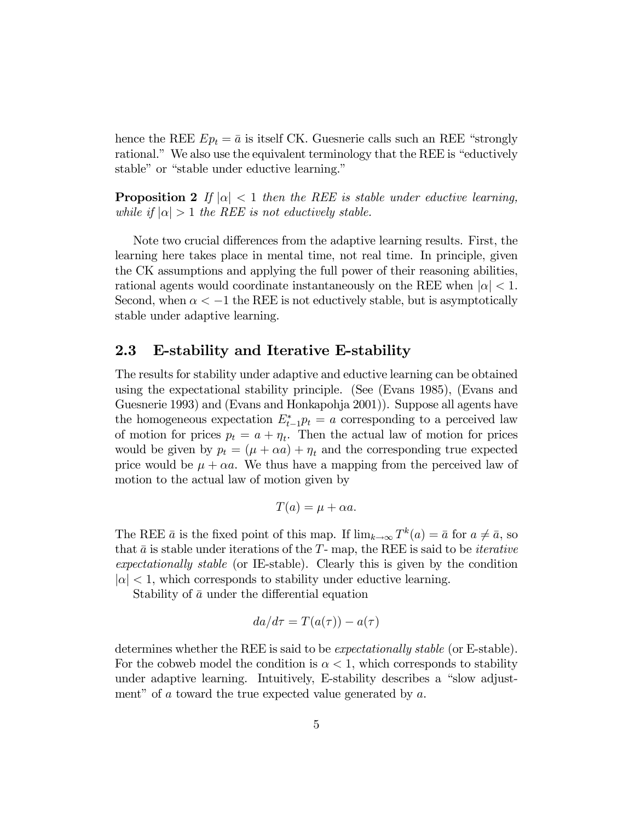hence the REE  $Ep_t = \bar{a}$  is itself CK. Guesnerie calls such an REE "strongly" rational." We also use the equivalent terminology that the REE is "eductively stable" or "stable under eductive learning."

**Proposition 2** If  $|\alpha| < 1$  then the REE is stable under eductive learning, while if  $|\alpha| > 1$  the REE is not eductively stable.

Note two crucial differences from the adaptive learning results. First, the learning here takes place in mental time, not real time. In principle, given the CK assumptions and applying the full power of their reasoning abilities, rational agents would coordinate instantaneously on the REE when  $|\alpha| < 1$ . Second, when  $\alpha < -1$  the REE is not eductively stable, but is asymptotically stable under adaptive learning.

#### 2.3 E-stability and Iterative E-stability

The results for stability under adaptive and eductive learning can be obtained using the expectational stability principle. (See (Evans 1985), (Evans and Guesnerie 1993) and (Evans and Honkapohja 2001)). Suppose all agents have the homogeneous expectation  $E_{t-1}^* p_t = a$  corresponding to a perceived law of motion for prices  $p_t = a + \eta_t$ . Then the actual law of motion for prices would be given by  $p_t = (\mu + \alpha a) + \eta_t$  and the corresponding true expected price would be  $\mu + \alpha a$ . We thus have a mapping from the perceived law of motion to the actual law of motion given by

$$
T(a) = \mu + \alpha a.
$$

The REE  $\bar{a}$  is the fixed point of this map. If  $\lim_{k\to\infty} T^k(a)=\bar{a}$  for  $a\neq \bar{a}$ , so that  $\bar{a}$  is stable under iterations of the T- map, the REE is said to be *iterative* expectationally stable (or IE-stable). Clearly this is given by the condition  $|\alpha|$  < 1, which corresponds to stability under eductive learning.

Stability of  $\bar{a}$  under the differential equation

$$
da/d\tau = T(a(\tau)) - a(\tau)
$$

determines whether the REE is said to be *expectationally stable* (or E-stable). For the cobweb model the condition is  $\alpha < 1$ , which corresponds to stability under adaptive learning. Intuitively, E-stability describes a "slow adjustment" of a toward the true expected value generated by  $a$ .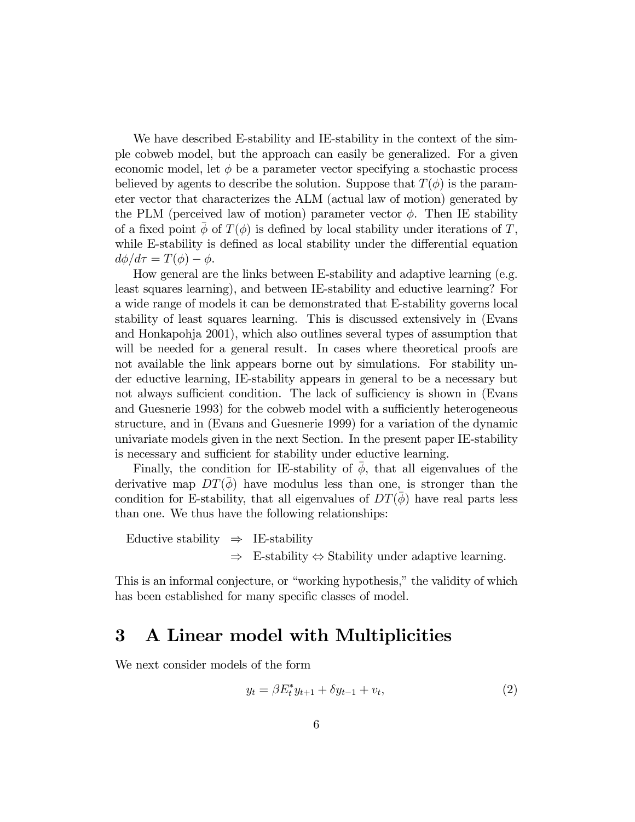We have described E-stability and IE-stability in the context of the simple cobweb model, but the approach can easily be generalized. For a given economic model, let  $\phi$  be a parameter vector specifying a stochastic process believed by agents to describe the solution. Suppose that  $T(\phi)$  is the parameter vector that characterizes the ALM (actual law of motion) generated by the PLM (perceived law of motion) parameter vector  $\phi$ . Then IE stability of a fixed point  $\phi$  of  $T(\phi)$  is defined by local stability under iterations of T, while E-stability is defined as local stability under the differential equation  $d\phi/d\tau = T(\phi) - \phi.$ 

How general are the links between E-stability and adaptive learning (e.g. least squares learning), and between IE-stability and eductive learning? For a wide range of models it can be demonstrated that E-stability governs local stability of least squares learning. This is discussed extensively in (Evans and Honkapohja 2001), which also outlines several types of assumption that will be needed for a general result. In cases where theoretical proofs are not available the link appears borne out by simulations. For stability under eductive learning, IE-stability appears in general to be a necessary but not always sufficient condition. The lack of sufficiency is shown in (Evans and Guesnerie 1993) for the cobweb model with a sufficiently heterogeneous structure, and in (Evans and Guesnerie 1999) for a variation of the dynamic univariate models given in the next Section. In the present paper IE-stability is necessary and sufficient for stability under eductive learning.

Finally, the condition for IE-stability of  $\phi$ , that all eigenvalues of the derivative map  $DT(\phi)$  have modulus less than one, is stronger than the condition for E-stability, that all eigenvalues of  $DT(\phi)$  have real parts less than one. We thus have the following relationships:

Eductive stability  $\Rightarrow$  IE-stability ⇒ E-stability ⇔ Stability under adaptive learning.

This is an informal conjecture, or "working hypothesis," the validity of which has been established for many specific classes of model.

### 3 A Linear model with Multiplicities

We next consider models of the form

$$
y_t = \beta E_t^* y_{t+1} + \delta y_{t-1} + v_t, \tag{2}
$$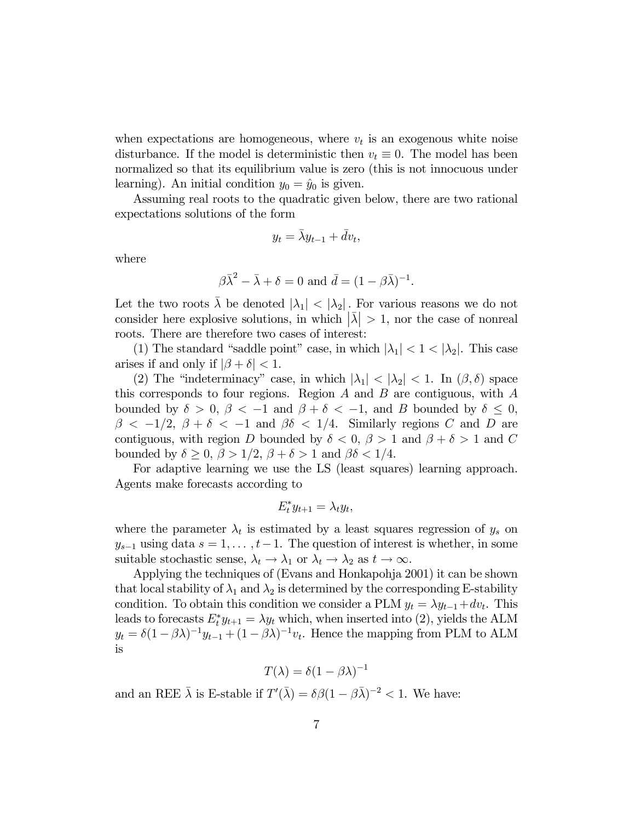when expectations are homogeneous, where  $v_t$  is an exogenous white noise disturbance. If the model is deterministic then  $v_t \equiv 0$ . The model has been normalized so that its equilibrium value is zero (this is not innocuous under learning). An initial condition  $y_0 = \hat{y}_0$  is given.

Assuming real roots to the quadratic given below, there are two rational expectations solutions of the form

$$
y_t = \bar{\lambda} y_{t-1} + \bar{d}v_t,
$$

where

$$
\beta \bar{\lambda}^2 - \bar{\lambda} + \delta = 0
$$
 and  $\bar{d} = (1 - \beta \bar{\lambda})^{-1}$ .

Let the two roots  $\bar{\lambda}$  be denoted  $|\lambda_1| < |\lambda_2|$ . For various reasons we do not consider here explosive solutions, in which  $|\bar{\lambda}| > 1$ , nor the case of nonreal roots. There are therefore two cases of interest:

(1) The standard "saddle point" case, in which  $|\lambda_1| < 1 < |\lambda_2|$ . This case arises if and only if  $|\beta + \delta| < 1$ .

(2) The "indeterminacy" case, in which  $|\lambda_1| < |\lambda_2| < 1$ . In  $(\beta, \delta)$  space this corresponds to four regions. Region  $A$  and  $B$  are contiguous, with  $A$ bounded by  $\delta > 0$ ,  $\beta < -1$  and  $\beta + \delta < -1$ , and B bounded by  $\delta \leq 0$ ,  $\beta$  < -1/2,  $\beta$  +  $\delta$  < -1 and  $\beta\delta$  < 1/4. Similarly regions C and D are contiguous, with region D bounded by  $\delta < 0$ ,  $\beta > 1$  and  $\beta + \delta > 1$  and C bounded by  $\delta \geq 0$ ,  $\beta > 1/2$ ,  $\beta + \delta > 1$  and  $\beta \delta < 1/4$ .

For adaptive learning we use the LS (least squares) learning approach. Agents make forecasts according to

$$
E_t^* y_{t+1} = \lambda_t y_t,
$$

where the parameter  $\lambda_t$  is estimated by a least squares regression of  $y_s$  on  $y_{s-1}$  using data  $s = 1, \ldots, t-1$ . The question of interest is whether, in some suitable stochastic sense,  $\lambda_t \to \lambda_1$  or  $\lambda_t \to \lambda_2$  as  $t \to \infty$ .

Applying the techniques of (Evans and Honkapohja 2001) it can be shown that local stability of  $\lambda_1$  and  $\lambda_2$  is determined by the corresponding E-stability condition. To obtain this condition we consider a PLM  $y_t = \lambda y_{t-1} + dv_t$ . This leads to forecasts  $E_t^* y_{t+1} = \lambda y_t$  which, when inserted into (2), yields the ALM  $y_t = \delta(1-\beta\lambda)^{-1}y_{t-1} + (1-\beta\lambda)^{-1}v_t$ . Hence the mapping from PLM to ALM is

$$
T(\lambda) = \delta(1 - \beta\lambda)^{-1}
$$

and an REE  $\bar{\lambda}$  is E-stable if  $T'(\bar{\lambda}) = \delta \beta (1 - \beta \bar{\lambda})^{-2} < 1$ . We have: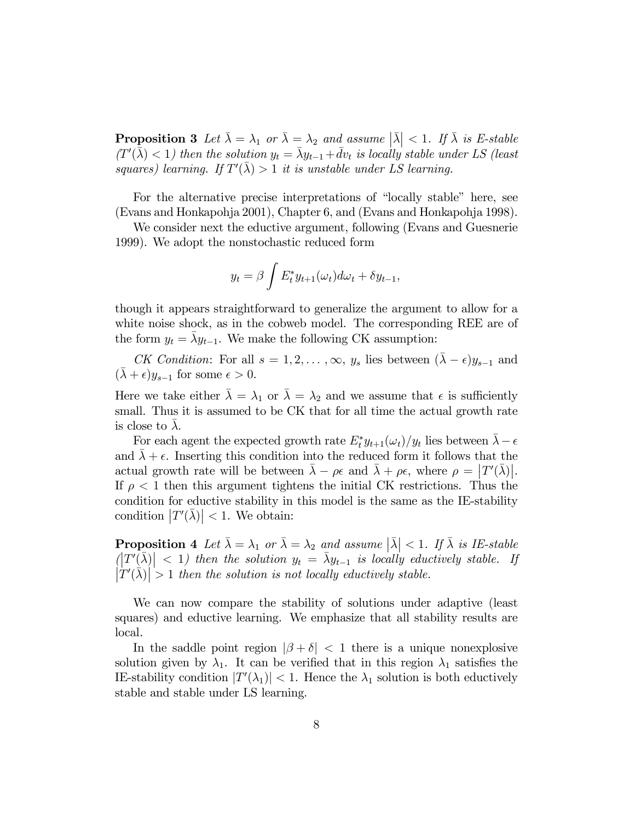**Proposition 3** Let  $\bar{\lambda} = \lambda_1$  or  $\bar{\lambda} = \lambda_2$  and assume  $|\bar{\lambda}| < 1$ . If  $\bar{\lambda}$  is E-stable  $(T<sup>'</sup>(\bar{\bar{\lambda}}) < 1)$  then the solution  $y_t = \bar{\lambda}y_{t-1} + \bar{d}v_t$  is locally stable under LS (least squares) learning. If  $T'(\bar{\lambda}) > 1$  it is unstable under LS learning.

For the alternative precise interpretations of "locally stable" here, see (Evans and Honkapohja 2001), Chapter 6, and (Evans and Honkapohja 1998).

We consider next the eductive argument, following (Evans and Guesnerie 1999). We adopt the nonstochastic reduced form

$$
y_t = \beta \int E_t^* y_{t+1}(\omega_t) d\omega_t + \delta y_{t-1},
$$

though it appears straightforward to generalize the argument to allow for a white noise shock, as in the cobweb model. The corresponding REE are of the form  $y_t = \bar{\lambda} y_{t-1}$ . We make the following CK assumption:

CK Condition: For all  $s = 1, 2, \ldots, \infty$ ,  $y_s$  lies between  $(\bar{\lambda} - \epsilon)y_{s-1}$  and  $(\bar{\lambda} + \epsilon)y_{s-1}$  for some  $\epsilon > 0$ .

Here we take either  $\bar{\lambda} = \lambda_1$  or  $\bar{\lambda} = \lambda_2$  and we assume that  $\epsilon$  is sufficiently small. Thus it is assumed to be CK that for all time the actual growth rate is close to  $\lambda$ .

For each agent the expected growth rate  $E_t^* y_{t+1}(\omega_t)/y_t$  lies between  $\bar{\lambda} - \epsilon$ and  $\lambda + \epsilon$ . Inserting this condition into the reduced form it follows that the actual growth rate will be between  $\bar{\lambda} - \rho \epsilon$  and  $\bar{\lambda} + \rho \epsilon$ , where  $\rho = |T'(\bar{\lambda})|$ . If  $\rho < 1$  then this argument tightens the initial CK restrictions. Thus the condition for eductive stability in this model is the same as the IE-stability condition  $|T'(\bar{\lambda})| < 1$ . We obtain:

**Proposition 4** Let  $\bar{\lambda} = \lambda_1$  or  $\bar{\lambda} = \lambda_2$  and assume  $|\bar{\lambda}| < 1$ . If  $\bar{\lambda}$  is IE-stable  $\left|\left|\overline{T'(\bar{\lambda})}\right|\right| < 1$ ) then the solution  $y_t = \bar{\lambda}y_{t-1}$  is locally eductively stable. If  $|\dot{T}'(\dot{\lambda})| > 1$  then the solution is not locally eductively stable.

We can now compare the stability of solutions under adaptive (least squares) and eductive learning. We emphasize that all stability results are local.

In the saddle point region  $|\beta + \delta| < 1$  there is a unique nonexplosive solution given by  $\lambda_1$ . It can be verified that in this region  $\lambda_1$  satisfies the IE-stability condition  $|T'(\lambda_1)| < 1$ . Hence the  $\lambda_1$  solution is both eductively stable and stable under LS learning.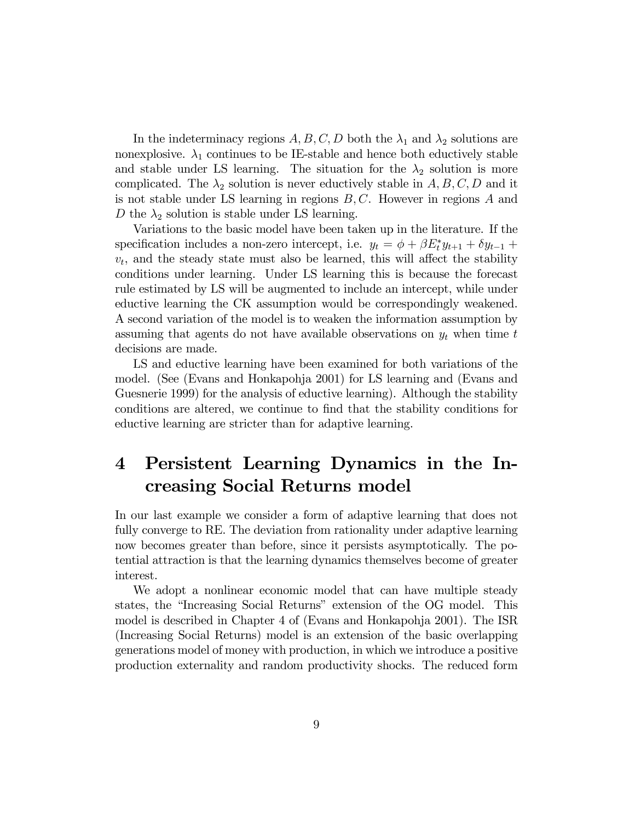In the indeterminacy regions  $A, B, C, D$  both the  $\lambda_1$  and  $\lambda_2$  solutions are nonexplosive.  $\lambda_1$  continues to be IE-stable and hence both eductively stable and stable under LS learning. The situation for the  $\lambda_2$  solution is more complicated. The  $\lambda_2$  solution is never eductively stable in A, B, C, D and it is not stable under LS learning in regions  $B, C$ . However in regions  $A$  and D the  $\lambda_2$  solution is stable under LS learning.

Variations to the basic model have been taken up in the literature. If the specification includes a non-zero intercept, i.e.  $y_t = \phi + \beta E_t^* y_{t+1} + \delta y_{t-1} +$  $v_t$ , and the steady state must also be learned, this will affect the stability conditions under learning. Under LS learning this is because the forecast rule estimated by LS will be augmented to include an intercept, while under eductive learning the CK assumption would be correspondingly weakened. A second variation of the model is to weaken the information assumption by assuming that agents do not have available observations on  $y_t$  when time t decisions are made.

LS and eductive learning have been examined for both variations of the model. (See (Evans and Honkapohja 2001) for LS learning and (Evans and Guesnerie 1999) for the analysis of eductive learning). Although the stability conditions are altered, we continue to find that the stability conditions for eductive learning are stricter than for adaptive learning.

## 4 Persistent Learning Dynamics in the Increasing Social Returns model

In our last example we consider a form of adaptive learning that does not fully converge to RE. The deviation from rationality under adaptive learning now becomes greater than before, since it persists asymptotically. The potential attraction is that the learning dynamics themselves become of greater interest.

We adopt a nonlinear economic model that can have multiple steady states, the "Increasing Social Returns" extension of the OG model. This model is described in Chapter 4 of (Evans and Honkapohja 2001). The ISR (Increasing Social Returns) model is an extension of the basic overlapping generations model of money with production, in which we introduce a positive production externality and random productivity shocks. The reduced form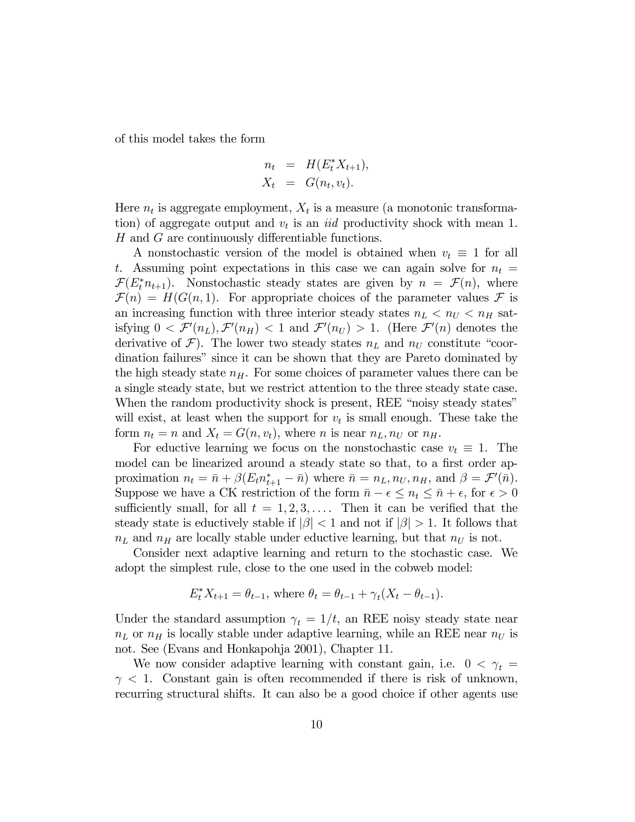of this model takes the form

$$
n_t = H(E_t^* X_{t+1}),
$$
  

$$
X_t = G(n_t, v_t).
$$

Here  $n_t$  is aggregate employment,  $X_t$  is a measure (a monotonic transformation) of aggregate output and  $v_t$  is an *iid* productivity shock with mean 1. H and G are continuously differentiable functions.

A nonstochastic version of the model is obtained when  $v_t \equiv 1$  for all t. Assuming point expectations in this case we can again solve for  $n_t =$  $\mathcal{F}(E_t^* n_{t+1})$ . Nonstochastic steady states are given by  $n = \mathcal{F}(n)$ , where  $\mathcal{F}(n) = H(G(n, 1))$ . For appropriate choices of the parameter values F is an increasing function with three interior steady states  $n_L < n_U < n_H$  satisfying  $0 < \mathcal{F}'(n_L)$ ,  $\mathcal{F}'(n_H) < 1$  and  $\mathcal{F}'(n_U) > 1$ . (Here  $\mathcal{F}'(n)$  denotes the derivative of  $\mathcal{F}$ ). The lower two steady states  $n<sub>L</sub>$  and  $n<sub>U</sub>$  constitute "coordination failures" since it can be shown that they are Pareto dominated by the high steady state  $n_H$ . For some choices of parameter values there can be a single steady state, but we restrict attention to the three steady state case. When the random productivity shock is present, REE "noisy steady states" will exist, at least when the support for  $v_t$  is small enough. These take the form  $n_t = n$  and  $X_t = G(n, v_t)$ , where n is near  $n<sub>L</sub>, n<sub>U</sub>$  or  $n<sub>H</sub>$ .

For eductive learning we focus on the nonstochastic case  $v_t \equiv 1$ . The model can be linearized around a steady state so that, to a first order approximation  $n_t = \bar{n} + \beta (E_t n_{t+1}^* - \bar{n})$  where  $\bar{n} = n_L, n_U, n_H$ , and  $\beta = \mathcal{F}'(\bar{n})$ . Suppose we have a CK restriction of the form  $\bar{n} - \epsilon \leq n_t \leq \bar{n} + \epsilon$ , for  $\epsilon > 0$ sufficiently small, for all  $t = 1, 2, 3, \ldots$ . Then it can be verified that the steady state is eductively stable if  $|\beta|$  < 1 and not if  $|\beta|$  > 1. It follows that  $n<sub>L</sub>$  and  $n<sub>H</sub>$  are locally stable under eductive learning, but that  $n<sub>U</sub>$  is not.

Consider next adaptive learning and return to the stochastic case. We adopt the simplest rule, close to the one used in the cobweb model:

$$
E_t^* X_{t+1} = \theta_{t-1}
$$
, where  $\theta_t = \theta_{t-1} + \gamma_t (X_t - \theta_{t-1})$ .

Under the standard assumption  $\gamma_t = 1/t$ , an REE noisy steady state near  $n<sub>L</sub>$  or  $n<sub>H</sub>$  is locally stable under adaptive learning, while an REE near  $n<sub>U</sub>$  is not. See (Evans and Honkapohja 2001), Chapter 11.

We now consider adaptive learning with constant gain, i.e.  $0 < \gamma_t =$  $\gamma$  < 1. Constant gain is often recommended if there is risk of unknown, recurring structural shifts. It can also be a good choice if other agents use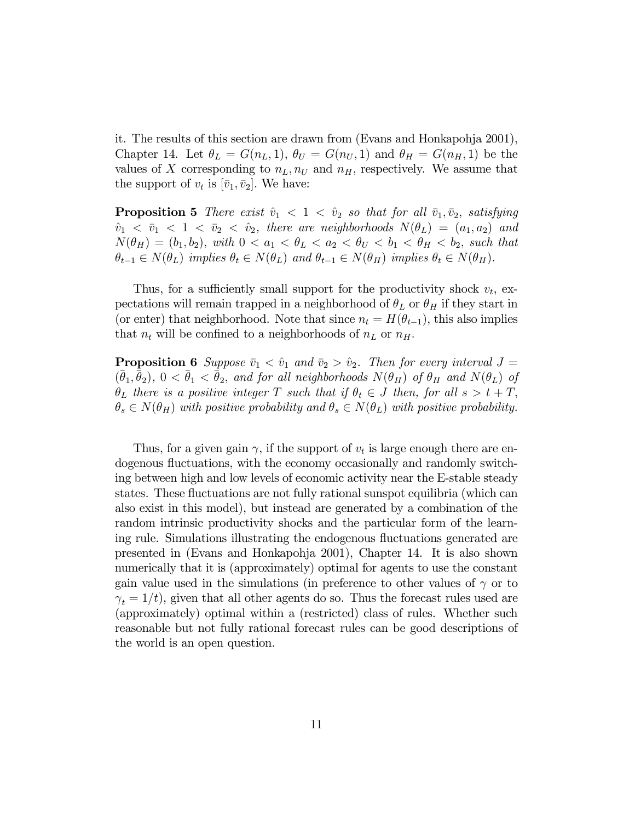it. The results of this section are drawn from (Evans and Honkapohja 2001), Chapter 14. Let  $\theta_L = G(n_L, 1), \theta_U = G(n_U, 1)$  and  $\theta_H = G(n_H, 1)$  be the values of X corresponding to  $n<sub>L</sub>, n<sub>U</sub>$  and  $n<sub>H</sub>$ , respectively. We assume that the support of  $v_t$  is  $[\bar{v}_1, \bar{v}_2]$ . We have:

**Proposition 5** There exist  $\hat{v}_1 < 1 < \hat{v}_2$  so that for all  $\bar{v}_1, \bar{v}_2$ , satisfying  $\hat{v}_1 < \bar{v}_1 < 1 < \bar{v}_2 < \hat{v}_2$ , there are neighborhoods  $N(\theta_L) = (a_1, a_2)$  and  $N(\theta_H) = (b_1, b_2)$ , with  $0 < a_1 < \theta_L < a_2 < \theta_U < b_1 < \theta_H < b_2$ , such that  $\theta_{t-1} \in N(\theta_L)$  implies  $\theta_t \in N(\theta_L)$  and  $\theta_{t-1} \in N(\theta_H)$  implies  $\theta_t \in N(\theta_H)$ .

Thus, for a sufficiently small support for the productivity shock  $v_t$ , expectations will remain trapped in a neighborhood of  $\theta_L$  or  $\theta_H$  if they start in (or enter) that neighborhood. Note that since  $n_t = H(\theta_{t-1})$ , this also implies that  $n_t$  will be confined to a neighborhoods of  $n_L$  or  $n_H$ .

**Proposition 6** Suppose  $\bar{v}_1 < \hat{v}_1$  and  $\bar{v}_2 > \hat{v}_2$ . Then for every interval  $J =$  $(\bar{\theta}_1, \bar{\theta}_2), 0 < \bar{\theta}_1 < \bar{\theta}_2$ , and for all neighborhoods  $N(\theta_H)$  of  $\theta_H$  and  $N(\theta_L)$  of  $\theta_L$  there is a positive integer T such that if  $\theta_t \in J$  then, for all  $s > t + T$ ,  $\theta_s \in N(\theta_H)$  with positive probability and  $\theta_s \in N(\theta_L)$  with positive probability.

Thus, for a given gain  $\gamma$ , if the support of  $v_t$  is large enough there are endogenous fluctuations, with the economy occasionally and randomly switching between high and low levels of economic activity near the E-stable steady states. These fluctuations are not fully rational sunspot equilibria (which can also exist in this model), but instead are generated by a combination of the random intrinsic productivity shocks and the particular form of the learning rule. Simulations illustrating the endogenous fluctuations generated are presented in (Evans and Honkapohja 2001), Chapter 14. It is also shown numerically that it is (approximately) optimal for agents to use the constant gain value used in the simulations (in preference to other values of  $\gamma$  or to  $\gamma_t = 1/t$ , given that all other agents do so. Thus the forecast rules used are (approximately) optimal within a (restricted) class of rules. Whether such reasonable but not fully rational forecast rules can be good descriptions of the world is an open question.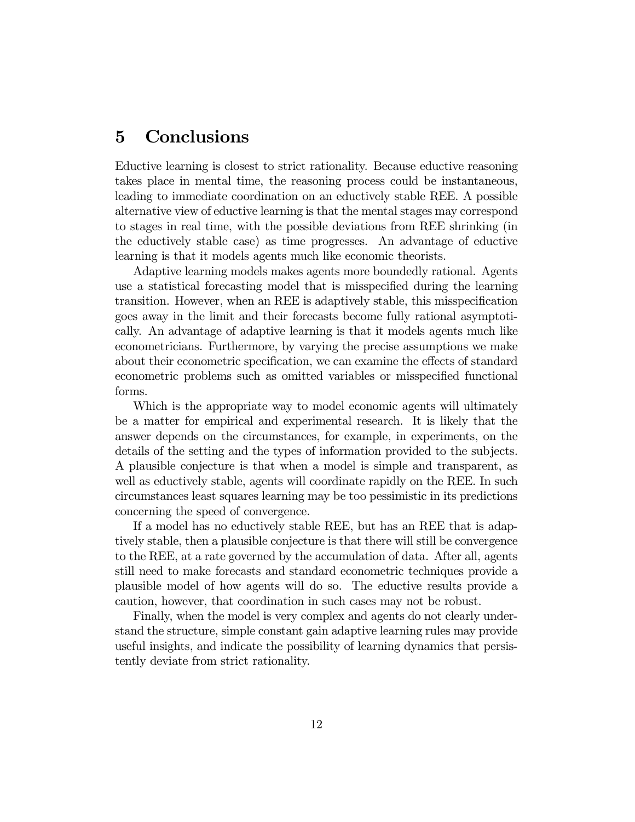## 5 Conclusions

Eductive learning is closest to strict rationality. Because eductive reasoning takes place in mental time, the reasoning process could be instantaneous, leading to immediate coordination on an eductively stable REE. A possible alternative view of eductive learning is that the mental stages may correspond to stages in real time, with the possible deviations from REE shrinking (in the eductively stable case) as time progresses. An advantage of eductive learning is that it models agents much like economic theorists.

Adaptive learning models makes agents more boundedly rational. Agents use a statistical forecasting model that is misspecified during the learning transition. However, when an REE is adaptively stable, this misspecification goes away in the limit and their forecasts become fully rational asymptotically. An advantage of adaptive learning is that it models agents much like econometricians. Furthermore, by varying the precise assumptions we make about their econometric specification, we can examine the effects of standard econometric problems such as omitted variables or misspecified functional forms.

Which is the appropriate way to model economic agents will ultimately be a matter for empirical and experimental research. It is likely that the answer depends on the circumstances, for example, in experiments, on the details of the setting and the types of information provided to the subjects. A plausible conjecture is that when a model is simple and transparent, as well as eductively stable, agents will coordinate rapidly on the REE. In such circumstances least squares learning may be too pessimistic in its predictions concerning the speed of convergence.

If a model has no eductively stable REE, but has an REE that is adaptively stable, then a plausible conjecture is that there will still be convergence to the REE, at a rate governed by the accumulation of data. After all, agents still need to make forecasts and standard econometric techniques provide a plausible model of how agents will do so. The eductive results provide a caution, however, that coordination in such cases may not be robust.

Finally, when the model is very complex and agents do not clearly understand the structure, simple constant gain adaptive learning rules may provide useful insights, and indicate the possibility of learning dynamics that persistently deviate from strict rationality.